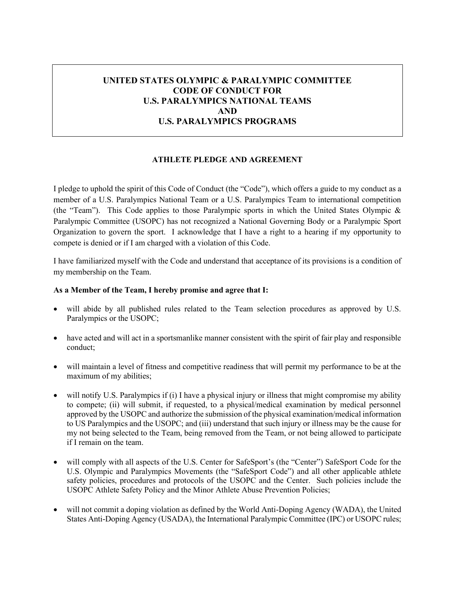# **UNITED STATES OLYMPIC & PARALYMPIC COMMITTEE CODE OF CONDUCT FOR U.S. PARALYMPICS NATIONAL TEAMS AND U.S. PARALYMPICS PROGRAMS**

### **ATHLETE PLEDGE AND AGREEMENT**

I pledge to uphold the spirit of this Code of Conduct (the "Code"), which offers a guide to my conduct as a member of a U.S. Paralympics National Team or a U.S. Paralympics Team to international competition (the "Team"). This Code applies to those Paralympic sports in which the United States Olympic & Paralympic Committee (USOPC) has not recognized a National Governing Body or a Paralympic Sport Organization to govern the sport. I acknowledge that I have a right to a hearing if my opportunity to compete is denied or if I am charged with a violation of this Code.

I have familiarized myself with the Code and understand that acceptance of its provisions is a condition of my membership on the Team.

#### **As a Member of the Team, I hereby promise and agree that I:**

- will abide by all published rules related to the Team selection procedures as approved by U.S. Paralympics or the USOPC;
- have acted and will act in a sportsmanlike manner consistent with the spirit of fair play and responsible conduct;
- will maintain a level of fitness and competitive readiness that will permit my performance to be at the maximum of my abilities;
- will notify U.S. Paralympics if (i) I have a physical injury or illness that might compromise my ability to compete; (ii) will submit, if requested, to a physical/medical examination by medical personnel approved by the USOPC and authorize the submission of the physical examination/medical information to US Paralympics and the USOPC; and (iii) understand that such injury or illness may be the cause for my not being selected to the Team, being removed from the Team, or not being allowed to participate if I remain on the team.
- will comply with all aspects of the U.S. Center for SafeSport's (the "Center") SafeSport Code for the U.S. Olympic and Paralympics Movements (the "SafeSport Code") and all other applicable athlete safety policies, procedures and protocols of the USOPC and the Center. Such policies include the USOPC Athlete Safety Policy and the Minor Athlete Abuse Prevention Policies;
- will not commit a doping violation as defined by the World Anti-Doping Agency (WADA), the United States Anti-Doping Agency (USADA), the International Paralympic Committee (IPC) or USOPC rules;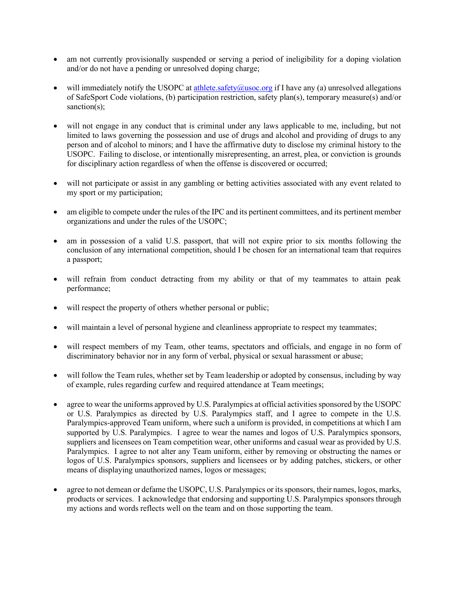- am not currently provisionally suspended or serving a period of ineligibility for a doping violation and/or do not have a pending or unresolved doping charge;
- will immediately notify the USOPC at [athlete.safety@usoc.org](mailto:athlete.safety@usoc.org) if I have any (a) unresolved allegations of SafeSport Code violations, (b) participation restriction, safety plan(s), temporary measure(s) and/or sanction(s);
- will not engage in any conduct that is criminal under any laws applicable to me, including, but not limited to laws governing the possession and use of drugs and alcohol and providing of drugs to any person and of alcohol to minors; and I have the affirmative duty to disclose my criminal history to the USOPC. Failing to disclose, or intentionally misrepresenting, an arrest, plea, or conviction is grounds for disciplinary action regardless of when the offense is discovered or occurred;
- will not participate or assist in any gambling or betting activities associated with any event related to my sport or my participation;
- am eligible to compete under the rules of the IPC and its pertinent committees, and its pertinent member organizations and under the rules of the USOPC;
- am in possession of a valid U.S. passport, that will not expire prior to six months following the conclusion of any international competition, should I be chosen for an international team that requires a passport;
- will refrain from conduct detracting from my ability or that of my teammates to attain peak performance;
- will respect the property of others whether personal or public;
- will maintain a level of personal hygiene and cleanliness appropriate to respect my teammates;
- will respect members of my Team, other teams, spectators and officials, and engage in no form of discriminatory behavior nor in any form of verbal, physical or sexual harassment or abuse;
- will follow the Team rules, whether set by Team leadership or adopted by consensus, including by way of example, rules regarding curfew and required attendance at Team meetings;
- agree to wear the uniforms approved by U.S. Paralympics at official activities sponsored by the USOPC or U.S. Paralympics as directed by U.S. Paralympics staff, and I agree to compete in the U.S. Paralympics-approved Team uniform, where such a uniform is provided, in competitions at which I am supported by U.S. Paralympics. I agree to wear the names and logos of U.S. Paralympics sponsors, suppliers and licensees on Team competition wear, other uniforms and casual wear as provided by U.S. Paralympics. I agree to not alter any Team uniform, either by removing or obstructing the names or logos of U.S. Paralympics sponsors, suppliers and licensees or by adding patches, stickers, or other means of displaying unauthorized names, logos or messages;
- agree to not demean or defame the USOPC, U.S. Paralympics or its sponsors, their names, logos, marks, products or services. I acknowledge that endorsing and supporting U.S. Paralympics sponsors through my actions and words reflects well on the team and on those supporting the team.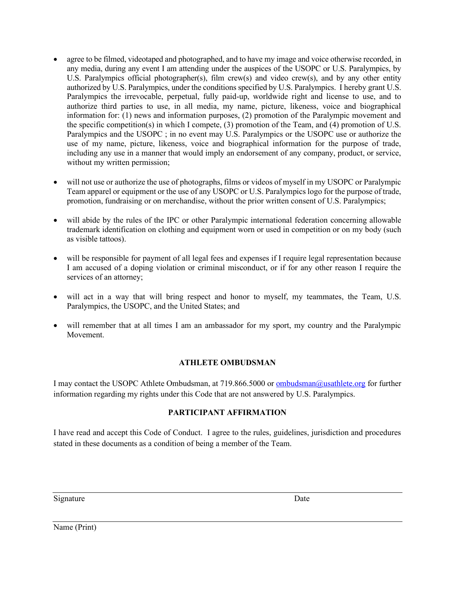- agree to be filmed, videotaped and photographed, and to have my image and voice otherwise recorded, in any media, during any event I am attending under the auspices of the USOPC or U.S. Paralympics, by U.S. Paralympics official photographer(s), film crew(s) and video crew(s), and by any other entity authorized by U.S. Paralympics, under the conditions specified by U.S. Paralympics. I hereby grant U.S. Paralympics the irrevocable, perpetual, fully paid-up, worldwide right and license to use, and to authorize third parties to use, in all media, my name, picture, likeness, voice and biographical information for: (1) news and information purposes, (2) promotion of the Paralympic movement and the specific competition(s) in which I compete, (3) promotion of the Team, and (4) promotion of U.S. Paralympics and the USOPC ; in no event may U.S. Paralympics or the USOPC use or authorize the use of my name, picture, likeness, voice and biographical information for the purpose of trade, including any use in a manner that would imply an endorsement of any company, product, or service, without my written permission;
- will not use or authorize the use of photographs, films or videos of myself in my USOPC or Paralympic Team apparel or equipment or the use of any USOPC or U.S. Paralympics logo for the purpose of trade, promotion, fundraising or on merchandise, without the prior written consent of U.S. Paralympics;
- will abide by the rules of the IPC or other Paralympic international federation concerning allowable trademark identification on clothing and equipment worn or used in competition or on my body (such as visible tattoos).
- will be responsible for payment of all legal fees and expenses if I require legal representation because I am accused of a doping violation or criminal misconduct, or if for any other reason I require the services of an attorney;
- will act in a way that will bring respect and honor to myself, my teammates, the Team, U.S. Paralympics, the USOPC, and the United States; and
- will remember that at all times I am an ambassador for my sport, my country and the Paralympic Movement.

# **ATHLETE OMBUDSMAN**

I may contact the USOPC Athlete Ombudsman, at 719.866.5000 or [ombudsman@usathlete.org](mailto:ombudsman@usathlete.org) for further information regarding my rights under this Code that are not answered by U.S. Paralympics.

# **PARTICIPANT AFFIRMATION**

I have read and accept this Code of Conduct. I agree to the rules, guidelines, jurisdiction and procedures stated in these documents as a condition of being a member of the Team.

Signature Date

Name (Print)